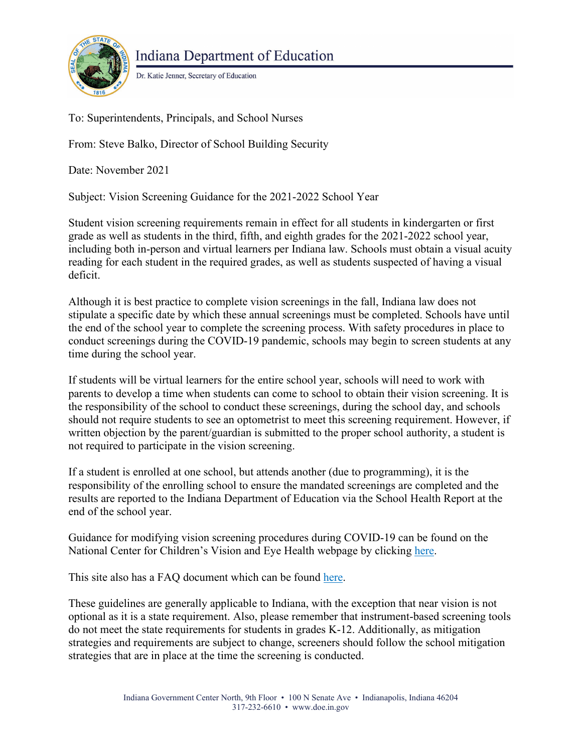

**Indiana Department of Education** 

Dr. Katie Jenner, Secretary of Education

To: Superintendents, Principals, and School Nurses

From: Steve Balko, Director of School Building Security

Date: November 2021

Subject: Vision Screening Guidance for the 2021-2022 School Year

Student vision screening requirements remain in effect for all students in kindergarten or first grade as well as students in the third, fifth, and eighth grades for the 2021-2022 school year, including both in-person and virtual learners per Indiana law. Schools must obtain a visual acuity reading for each student in the required grades, as well as students suspected of having a visual deficit.

Although it is best practice to complete vision screenings in the fall, Indiana law does not stipulate a specific date by which these annual screenings must be completed. Schools have until the end of the school year to complete the screening process. With safety procedures in place to conduct screenings during the COVID-19 pandemic, schools may begin to screen students at any time during the school year.

If students will be virtual learners for the entire school year, schools will need to work with parents to develop a time when students can come to school to obtain their vision screening. It is the responsibility of the school to conduct these screenings, during the school day, and schools should not require students to see an optometrist to meet this screening requirement. However, if written objection by the parent/guardian is submitted to the proper school authority, a student is not required to participate in the vision screening.

If a student is enrolled at one school, but attends another (due to programming), it is the responsibility of the enrolling school to ensure the mandated screenings are completed and the results are reported to the Indiana Department of Education via the School Health Report at the end of the school year.

Guidance for modifying vision screening procedures during COVID-19 can be found on the National Center for Children's Vision and Eye Health webpage by clicking [here.](https://nationalcenter.preventblindness.org/wp-content/uploads/sites/22/2021/08/Vision-Screening-Considerations-Aug-2021.pdf)

This site also has a FAQ document which can be found [here.](https://nationalcenter.preventblindness.org/wp-content/uploads/sites/22/2021/08/Vision-Screening-FAQ-Aug-2021.pdf)

These guidelines are generally applicable to Indiana, with the exception that near vision is not optional as it is a state requirement. Also, please remember that instrument-based screening tools do not meet the state requirements for students in grades K-12. Additionally, as mitigation strategies and requirements are subject to change, screeners should follow the school mitigation strategies that are in place at the time the screening is conducted.